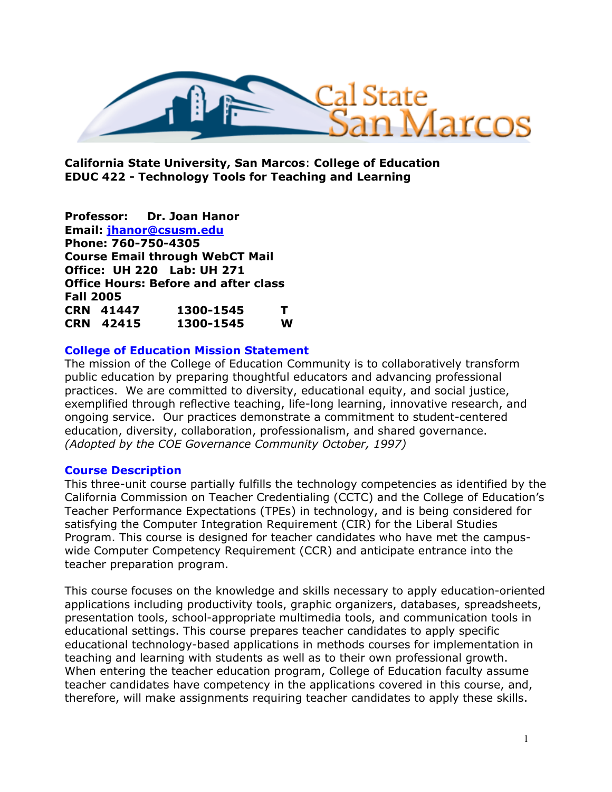

**California State University, San Marcos**: **College of Education EDUC 422 - Technology Tools for Teaching and Learning** 

**Professor: Dr. Joan Hanor Email: jhanor@csusm.edu Phone: 760-750-4305 Course Email through WebCT Mail Office: UH 220 Lab: UH 271 Office Hours: Before and after class Fall 2005 CRN 41447 1300-1545 T CRN 42415 1300-1545 W** 

### **College of Education Mission Statement**

The mission of the College of Education Community is to collaboratively transform public education by preparing thoughtful educators and advancing professional practices. We are committed to diversity, educational equity, and social justice, exemplified through reflective teaching, life-long learning, innovative research, and ongoing service. Our practices demonstrate a commitment to student-centered education, diversity, collaboration, professionalism, and shared governance. *(Adopted by the COE Governance Community October, 1997)* 

### **Course Description**

This three-unit course partially fulfills the technology competencies as identified by the California Commission on Teacher Credentialing (CCTC) and the College of Education's Teacher Performance Expectations (TPEs) in technology, and is being considered for satisfying the Computer Integration Requirement (CIR) for the Liberal Studies Program. This course is designed for teacher candidates who have met the campuswide Computer Competency Requirement (CCR) and anticipate entrance into the teacher preparation program.

This course focuses on the knowledge and skills necessary to apply education-oriented applications including productivity tools, graphic organizers, databases, spreadsheets, presentation tools, school-appropriate multimedia tools, and communication tools in educational settings. This course prepares teacher candidates to apply specific educational technology-based applications in methods courses for implementation in teaching and learning with students as well as to their own professional growth. When entering the teacher education program, College of Education faculty assume teacher candidates have competency in the applications covered in this course, and, therefore, will make assignments requiring teacher candidates to apply these skills.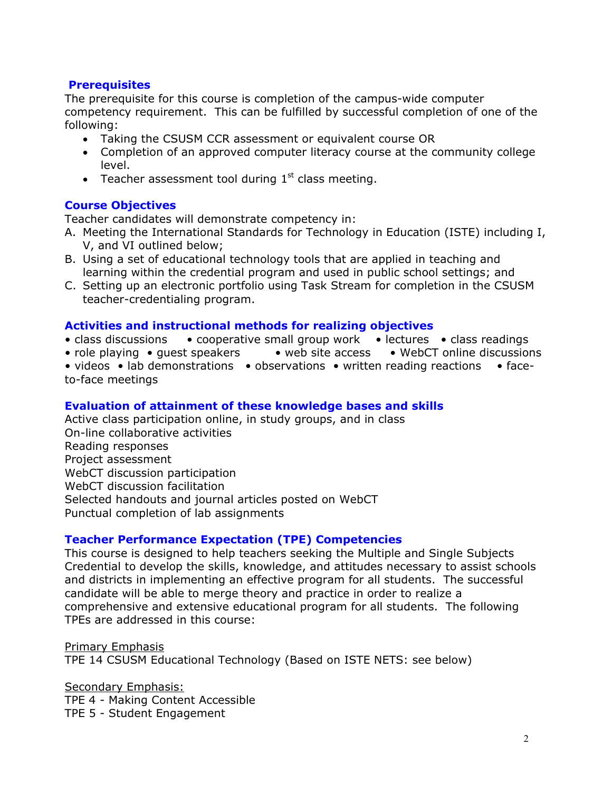# **Prerequisites**

The prerequisite for this course is completion of the campus-wide computer competency requirement. This can be fulfilled by successful completion of one of the following:

- Taking the CSUSM CCR assessment or equivalent course OR
- Completion of an approved computer literacy course at the community college level.
- Teacher assessment tool during  $1<sup>st</sup>$  class meeting.

# **Course Objectives**

Teacher candidates will demonstrate competency in:

- A. Meeting the International Standards for Technology in Education (ISTE) including I, V, and VI outlined below;
- B. Using a set of educational technology tools that are applied in teaching and learning within the credential program and used in public school settings; and
- C. Setting up an electronic portfolio using Task Stream for completion in the CSUSM teacher-credentialing program.

### **Activities and instructional methods for realizing objectives**

- class discussions cooperative small group work lectures class readings
- role playing quest speakers web site access WebCT online discussions
- videos lab demonstrations observations written reading reactions faceto-face meetings

# **Evaluation of attainment of these knowledge bases and skills**

Active class participation online, in study groups, and in class On-line collaborative activities Reading responses Project assessment WebCT discussion participation WebCT discussion facilitation Selected handouts and journal articles posted on WebCT Punctual completion of lab assignments

### **Teacher Performance Expectation (TPE) Competencies**

This course is designed to help teachers seeking the Multiple and Single Subjects Credential to develop the skills, knowledge, and attitudes necessary to assist schools and districts in implementing an effective program for all students. The successful candidate will be able to merge theory and practice in order to realize a comprehensive and extensive educational program for all students. The following TPEs are addressed in this course:

Primary Emphasis TPE 14 CSUSM Educational Technology (Based on ISTE NETS: see below)

Secondary Emphasis: TPE 4 - Making Content Accessible TPE 5 - Student Engagement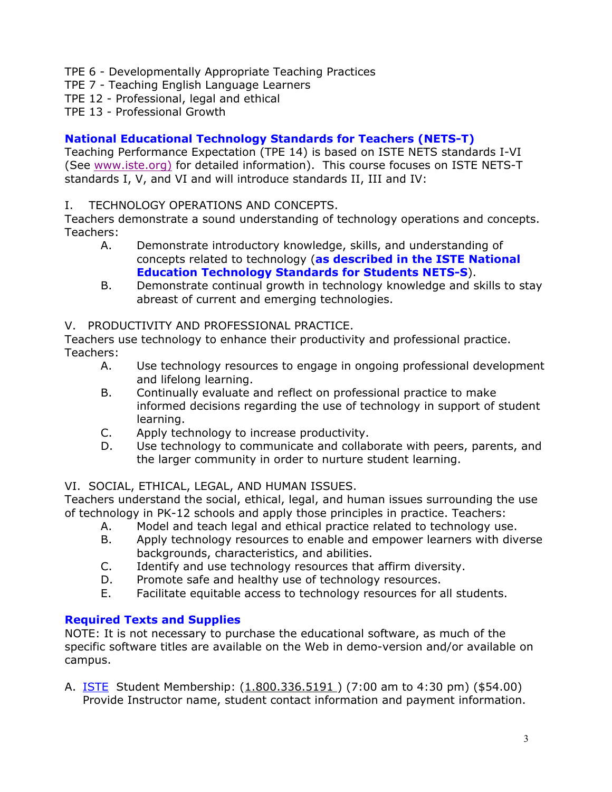- TPE 6 Developmentally Appropriate Teaching Practices
- TPE 7 Teaching English Language Learners
- TPE 12 Professional, legal and ethical
- TPE 13 Professional Growth

# **National Educational Technology Standards for Teachers (NETS-T)**

Teaching Performance Expectation (TPE 14) is based on ISTE NETS standards I-VI (See www.iste.org) for detailed information). This course focuses on ISTE NETS-T standards I, V, and VI and will introduce standards II, III and IV:

I. TECHNOLOGY OPERATIONS AND CONCEPTS.

Teachers demonstrate a sound understanding of technology operations and concepts. Teachers:

- A. Demonstrate introductory knowledge, skills, and understanding of concepts related to technology (**as described in the ISTE National Education Technology Standards for Students NETS-S**).
- B. Demonstrate continual growth in technology knowledge and skills to stay abreast of current and emerging technologies.

### V. PRODUCTIVITY AND PROFESSIONAL PRACTICE.

Teachers use technology to enhance their productivity and professional practice. Teachers:

- A. Use technology resources to engage in ongoing professional development and lifelong learning.
- B. Continually evaluate and reflect on professional practice to make informed decisions regarding the use of technology in support of student learning.
- C. Apply technology to increase productivity.
- D. Use technology to communicate and collaborate with peers, parents, and the larger community in order to nurture student learning.

# VI. SOCIAL, ETHICAL, LEGAL, AND HUMAN ISSUES.

Teachers understand the social, ethical, legal, and human issues surrounding the use of technology in PK-12 schools and apply those principles in practice. Teachers:

- A. Model and teach legal and ethical practice related to technology use.
- B. Apply technology resources to enable and empower learners with diverse backgrounds, characteristics, and abilities.
- C. Identify and use technology resources that affirm diversity.
- D. Promote safe and healthy use of technology resources.
- E. Facilitate equitable access to technology resources for all students.

# **Required Texts and Supplies**

NOTE: It is not necessary to purchase the educational software, as much of the specific software titles are available on the Web in demo-version and/or available on campus.

A. **ISTE** Student Membership:  $(1.800.336.5191)$  (7:00 am to 4:30 pm) (\$54.00) Provide Instructor name, student contact information and payment information.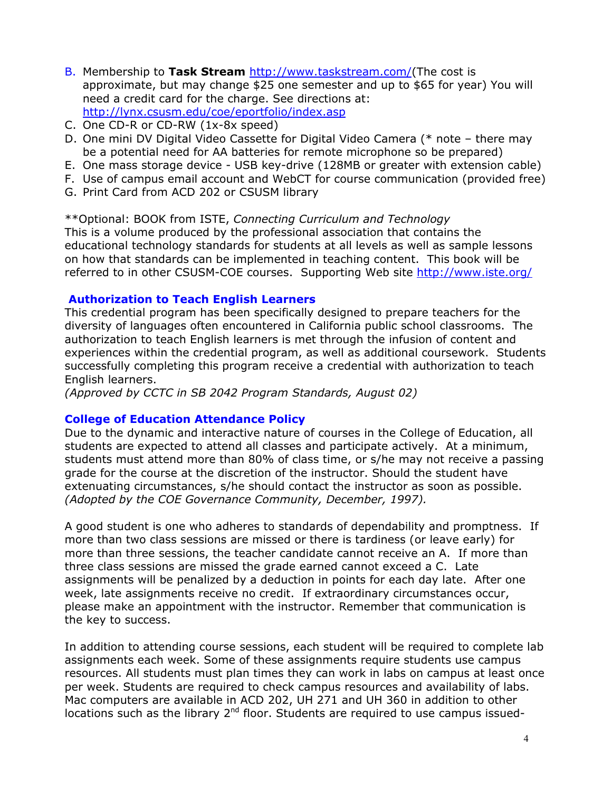- B. Membership to **Task Stream** http://www.taskstream.com/(The cost is approximate, but may change \$25 one semester and up to \$65 for year) You will need a credit card for the charge. See directions at: http://lynx.csusm.edu/coe/eportfolio/index.asp
- C. One CD-R or CD-RW (1x-8x speed)
- D. One mini DV Digital Video Cassette for Digital Video Camera (\* note there may be a potential need for AA batteries for remote microphone so be prepared)
- E. One mass storage device USB key-drive (128MB or greater with extension cable)
- F. Use of campus email account and WebCT for course communication (provided free)
- G. Print Card from ACD 202 or CSUSM library

\*\*Optional: BOOK from ISTE, *Connecting Curriculum and Technology* This is a volume produced by the professional association that contains the educational technology standards for students at all levels as well as sample lessons on how that standards can be implemented in teaching content. This book will be referred to in other CSUSM-COE courses. Supporting Web site http://www.iste.org/

### **Authorization to Teach English Learners**

This credential program has been specifically designed to prepare teachers for the diversity of languages often encountered in California public school classrooms. The authorization to teach English learners is met through the infusion of content and experiences within the credential program, as well as additional coursework. Students successfully completing this program receive a credential with authorization to teach English learners.

*(Approved by CCTC in SB 2042 Program Standards, August 02)*

### **College of Education Attendance Policy**

Due to the dynamic and interactive nature of courses in the College of Education, all students are expected to attend all classes and participate actively. At a minimum, students must attend more than 80% of class time, or s/he may not receive a passing grade for the course at the discretion of the instructor. Should the student have extenuating circumstances, s/he should contact the instructor as soon as possible. *(Adopted by the COE Governance Community, December, 1997).*

A good student is one who adheres to standards of dependability and promptness. If more than two class sessions are missed or there is tardiness (or leave early) for more than three sessions, the teacher candidate cannot receive an A. If more than three class sessions are missed the grade earned cannot exceed a C. Late assignments will be penalized by a deduction in points for each day late. After one week, late assignments receive no credit. If extraordinary circumstances occur, please make an appointment with the instructor. Remember that communication is the key to success.

In addition to attending course sessions, each student will be required to complete lab assignments each week. Some of these assignments require students use campus resources. All students must plan times they can work in labs on campus at least once per week. Students are required to check campus resources and availability of labs. Mac computers are available in ACD 202, UH 271 and UH 360 in addition to other locations such as the library  $2<sup>nd</sup>$  floor. Students are required to use campus issued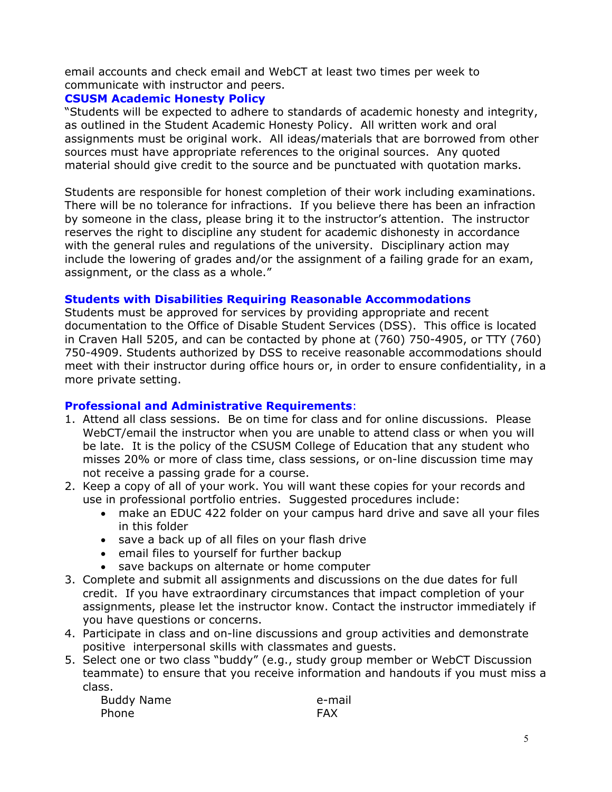email accounts and check email and WebCT at least two times per week to communicate with instructor and peers.

### **CSUSM Academic Honesty Policy**

"Students will be expected to adhere to standards of academic honesty and integrity, as outlined in the Student Academic Honesty Policy. All written work and oral assignments must be original work. All ideas/materials that are borrowed from other sources must have appropriate references to the original sources. Any quoted material should give credit to the source and be punctuated with quotation marks.

Students are responsible for honest completion of their work including examinations. There will be no tolerance for infractions. If you believe there has been an infraction by someone in the class, please bring it to the instructor's attention. The instructor reserves the right to discipline any student for academic dishonesty in accordance with the general rules and regulations of the university. Disciplinary action may include the lowering of grades and/or the assignment of a failing grade for an exam, assignment, or the class as a whole."

### **Students with Disabilities Requiring Reasonable Accommodations**

Students must be approved for services by providing appropriate and recent documentation to the Office of Disable Student Services (DSS). This office is located in Craven Hall 5205, and can be contacted by phone at (760) 750-4905, or TTY (760) 750-4909. Students authorized by DSS to receive reasonable accommodations should meet with their instructor during office hours or, in order to ensure confidentiality, in a more private setting.

### **Professional and Administrative Requirements**:

- 1. Attend all class sessions. Be on time for class and for online discussions. Please WebCT/email the instructor when you are unable to attend class or when you will be late. It is the policy of the CSUSM College of Education that any student who misses 20% or more of class time, class sessions, or on-line discussion time may not receive a passing grade for a course.
- 2. Keep a copy of all of your work. You will want these copies for your records and use in professional portfolio entries. Suggested procedures include:
	- make an EDUC 422 folder on your campus hard drive and save all your files in this folder
	- save a back up of all files on your flash drive
	- email files to yourself for further backup
	- save backups on alternate or home computer
- 3. Complete and submit all assignments and discussions on the due dates for full credit. If you have extraordinary circumstances that impact completion of your assignments, please let the instructor know. Contact the instructor immediately if you have questions or concerns.
- 4. Participate in class and on-line discussions and group activities and demonstrate positive interpersonal skills with classmates and guests.
- 5. Select one or two class "buddy" (e.g., study group member or WebCT Discussion teammate) to ensure that you receive information and handouts if you must miss a class.

Buddy Name e-mail Phone **FAX**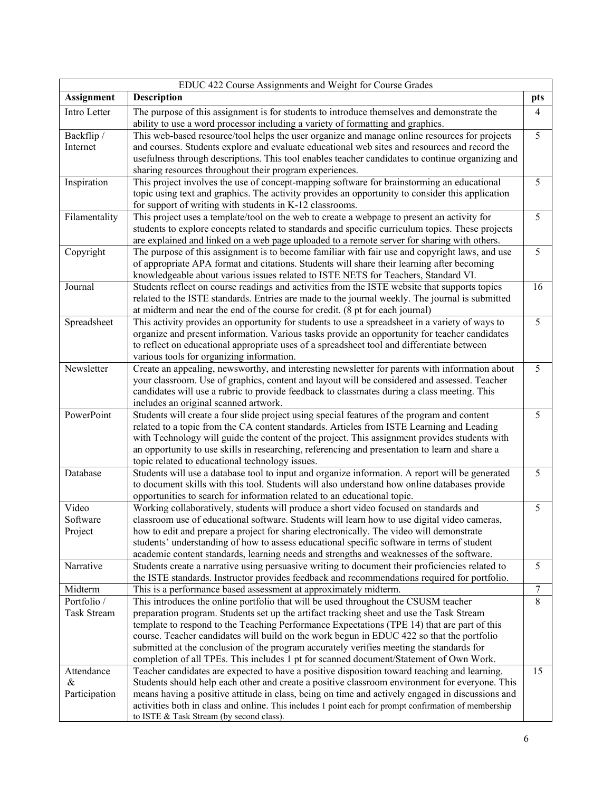| EDUC 422 Course Assignments and Weight for Course Grades |                                                                                                                                                                                                                                                                                                                                                                                                                                                                                                                                                                   |                |  |  |
|----------------------------------------------------------|-------------------------------------------------------------------------------------------------------------------------------------------------------------------------------------------------------------------------------------------------------------------------------------------------------------------------------------------------------------------------------------------------------------------------------------------------------------------------------------------------------------------------------------------------------------------|----------------|--|--|
| <b>Assignment</b>                                        | Description                                                                                                                                                                                                                                                                                                                                                                                                                                                                                                                                                       | pts            |  |  |
| Intro Letter                                             | The purpose of this assignment is for students to introduce themselves and demonstrate the<br>ability to use a word processor including a variety of formatting and graphics.                                                                                                                                                                                                                                                                                                                                                                                     | $\overline{4}$ |  |  |
| Backflip /<br>Internet                                   | This web-based resource/tool helps the user organize and manage online resources for projects<br>and courses. Students explore and evaluate educational web sites and resources and record the<br>usefulness through descriptions. This tool enables teacher candidates to continue organizing and<br>sharing resources throughout their program experiences.                                                                                                                                                                                                     | 5              |  |  |
| Inspiration                                              | This project involves the use of concept-mapping software for brainstorming an educational<br>topic using text and graphics. The activity provides an opportunity to consider this application<br>for support of writing with students in K-12 classrooms.                                                                                                                                                                                                                                                                                                        | 5              |  |  |
| Filamentality                                            | This project uses a template/tool on the web to create a webpage to present an activity for<br>students to explore concepts related to standards and specific curriculum topics. These projects<br>are explained and linked on a web page uploaded to a remote server for sharing with others.                                                                                                                                                                                                                                                                    | 5              |  |  |
| Copyright                                                | The purpose of this assignment is to become familiar with fair use and copyright laws, and use<br>of appropriate APA format and citations. Students will share their learning after becoming<br>knowledgeable about various issues related to ISTE NETS for Teachers, Standard VI.                                                                                                                                                                                                                                                                                | 5              |  |  |
| Journal                                                  | Students reflect on course readings and activities from the ISTE website that supports topics<br>related to the ISTE standards. Entries are made to the journal weekly. The journal is submitted<br>at midterm and near the end of the course for credit. (8 pt for each journal)                                                                                                                                                                                                                                                                                 | 16             |  |  |
| Spreadsheet                                              | This activity provides an opportunity for students to use a spreadsheet in a variety of ways to<br>organize and present information. Various tasks provide an opportunity for teacher candidates<br>to reflect on educational appropriate uses of a spreadsheet tool and differentiate between<br>various tools for organizing information.                                                                                                                                                                                                                       | 5              |  |  |
| Newsletter                                               | Create an appealing, newsworthy, and interesting newsletter for parents with information about<br>your classroom. Use of graphics, content and layout will be considered and assessed. Teacher<br>candidates will use a rubric to provide feedback to classmates during a class meeting. This<br>includes an original scanned artwork.                                                                                                                                                                                                                            | 5              |  |  |
| PowerPoint                                               | Students will create a four slide project using special features of the program and content<br>related to a topic from the CA content standards. Articles from ISTE Learning and Leading<br>with Technology will guide the content of the project. This assignment provides students with<br>an opportunity to use skills in researching, referencing and presentation to learn and share a<br>topic related to educational technology issues.                                                                                                                    | 5              |  |  |
| Database                                                 | Students will use a database tool to input and organize information. A report will be generated<br>to document skills with this tool. Students will also understand how online databases provide<br>opportunities to search for information related to an educational topic.                                                                                                                                                                                                                                                                                      | 5              |  |  |
| Video<br>Software<br>Project                             | Working collaboratively, students will produce a short video focused on standards and<br>classroom use of educational software. Students will learn how to use digital video cameras,<br>how to edit and prepare a project for sharing electronically. The video will demonstrate<br>students' understanding of how to assess educational specific software in terms of student<br>academic content standards, learning needs and strengths and weaknesses of the software.                                                                                       | 5              |  |  |
| Narrative                                                | Students create a narrative using persuasive writing to document their proficiencies related to<br>the ISTE standards. Instructor provides feedback and recommendations required for portfolio.                                                                                                                                                                                                                                                                                                                                                                   | 5              |  |  |
| Midterm                                                  | This is a performance based assessment at approximately midterm.                                                                                                                                                                                                                                                                                                                                                                                                                                                                                                  | 7              |  |  |
| Portfolio /<br><b>Task Stream</b>                        | This introduces the online portfolio that will be used throughout the CSUSM teacher<br>preparation program. Students set up the artifact tracking sheet and use the Task Stream<br>template to respond to the Teaching Performance Expectations (TPE 14) that are part of this<br>course. Teacher candidates will build on the work begun in EDUC 422 so that the portfolio<br>submitted at the conclusion of the program accurately verifies meeting the standards for<br>completion of all TPEs. This includes 1 pt for scanned document/Statement of Own Work. | 8              |  |  |
| Attendance<br>&<br>Participation                         | Teacher candidates are expected to have a positive disposition toward teaching and learning.<br>Students should help each other and create a positive classroom environment for everyone. This<br>means having a positive attitude in class, being on time and actively engaged in discussions and<br>activities both in class and online. This includes 1 point each for prompt confirmation of membership<br>to ISTE & Task Stream (by second class).                                                                                                           | 15             |  |  |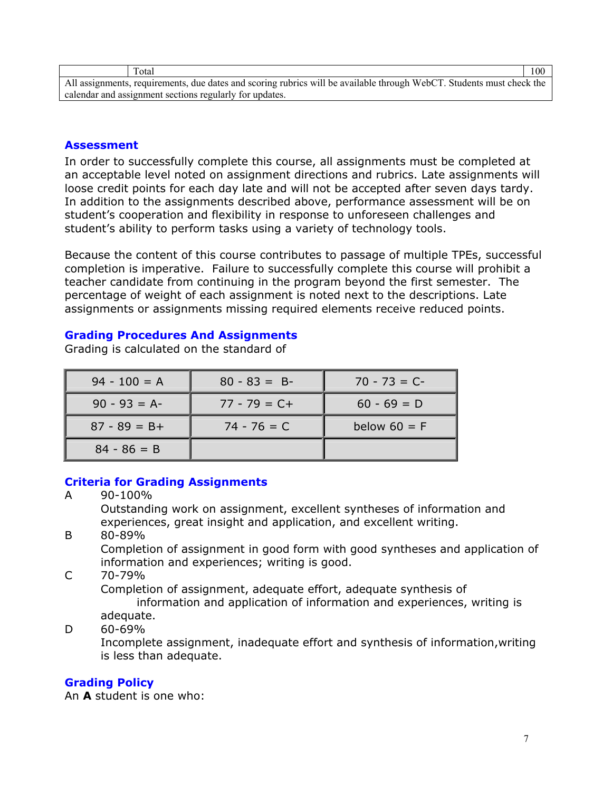| Total                                                                                                                 | 100 |  |
|-----------------------------------------------------------------------------------------------------------------------|-----|--|
| All assignments, requirements, due dates and scoring rubrics will be available through WebCT. Students must check the |     |  |
| calendar and assignment sections regularly for updates.                                                               |     |  |

### **Assessment**

In order to successfully complete this course, all assignments must be completed at an acceptable level noted on assignment directions and rubrics. Late assignments will loose credit points for each day late and will not be accepted after seven days tardy. In addition to the assignments described above, performance assessment will be on student's cooperation and flexibility in response to unforeseen challenges and student's ability to perform tasks using a variety of technology tools.

Because the content of this course contributes to passage of multiple TPEs, successful completion is imperative. Failure to successfully complete this course will prohibit a teacher candidate from continuing in the program beyond the first semester. The percentage of weight of each assignment is noted next to the descriptions. Late assignments or assignments missing required elements receive reduced points.

#### **Grading Procedures And Assignments**

Grading is calculated on the standard of

| $94 - 100 = A$  | $80 - 83 = B$   | $70 - 73 = C$  |
|-----------------|-----------------|----------------|
| $90 - 93 = A$   | $77 - 79 = C +$ | $60 - 69 = D$  |
| $87 - 89 = B +$ | $74 - 76 = C$   | below $60 = F$ |
| $84 - 86 = B$   |                 |                |

# **Criteria for Grading Assignments**

A 90-100% Outstanding work on assignment, excellent syntheses of information and experiences, great insight and application, and excellent writing. B 80-89%

Completion of assignment in good form with good syntheses and application of information and experiences; writing is good.

C 70-79%

Completion of assignment, adequate effort, adequate synthesis of information and application of information and experiences, writing is adequate.

### $D = 60 - 69\%$

Incomplete assignment, inadequate effort and synthesis of information,writing is less than adequate.

### **Grading Policy**

An **A** student is one who: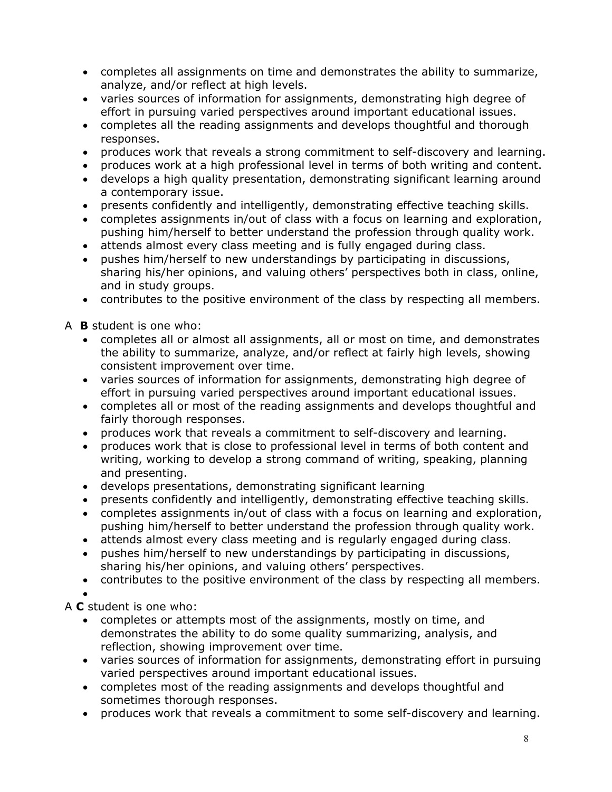- completes all assignments on time and demonstrates the ability to summarize, analyze, and/or reflect at high levels.
- varies sources of information for assignments, demonstrating high degree of effort in pursuing varied perspectives around important educational issues.
- completes all the reading assignments and develops thoughtful and thorough responses.
- produces work that reveals a strong commitment to self-discovery and learning.
- produces work at a high professional level in terms of both writing and content.
- develops a high quality presentation, demonstrating significant learning around a contemporary issue.
- presents confidently and intelligently, demonstrating effective teaching skills.
- completes assignments in/out of class with a focus on learning and exploration, pushing him/herself to better understand the profession through quality work.
- attends almost every class meeting and is fully engaged during class.
- pushes him/herself to new understandings by participating in discussions, sharing his/her opinions, and valuing others' perspectives both in class, online, and in study groups.
- contributes to the positive environment of the class by respecting all members.

A **B** student is one who:

- completes all or almost all assignments, all or most on time, and demonstrates the ability to summarize, analyze, and/or reflect at fairly high levels, showing consistent improvement over time.
- varies sources of information for assignments, demonstrating high degree of effort in pursuing varied perspectives around important educational issues.
- completes all or most of the reading assignments and develops thoughtful and fairly thorough responses.
- produces work that reveals a commitment to self-discovery and learning.
- produces work that is close to professional level in terms of both content and writing, working to develop a strong command of writing, speaking, planning and presenting.
- develops presentations, demonstrating significant learning
- presents confidently and intelligently, demonstrating effective teaching skills.
- completes assignments in/out of class with a focus on learning and exploration, pushing him/herself to better understand the profession through quality work.
- attends almost every class meeting and is regularly engaged during class.
- pushes him/herself to new understandings by participating in discussions, sharing his/her opinions, and valuing others' perspectives.
- contributes to the positive environment of the class by respecting all members.

•

A **C** student is one who:

- completes or attempts most of the assignments, mostly on time, and demonstrates the ability to do some quality summarizing, analysis, and reflection, showing improvement over time.
- varies sources of information for assignments, demonstrating effort in pursuing varied perspectives around important educational issues.
- completes most of the reading assignments and develops thoughtful and sometimes thorough responses.
- produces work that reveals a commitment to some self-discovery and learning.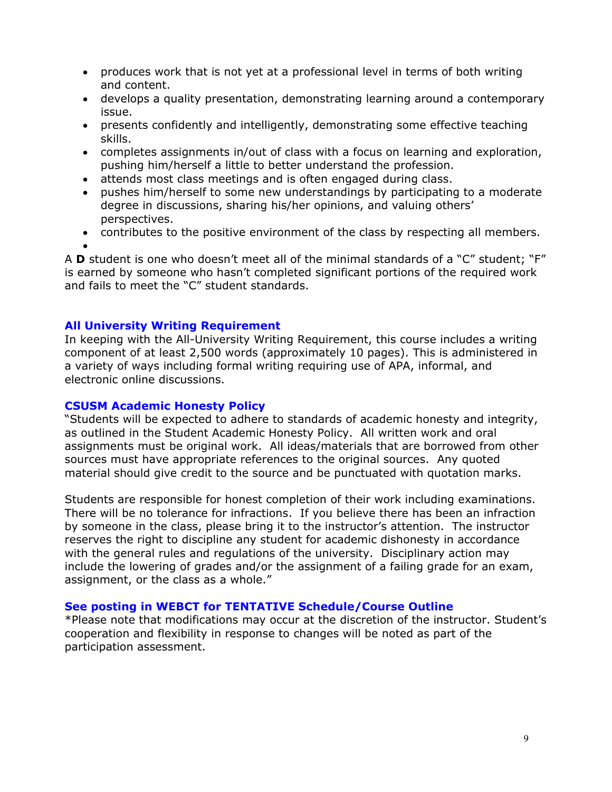- produces work that is not yet at a professional level in terms of both writing and content.
- develops a quality presentation, demonstrating learning around a contemporary issue.
- presents confidently and intelligently, demonstrating some effective teaching skills.
- completes assignments in/out of class with a focus on learning and exploration, pushing him/herself a little to better understand the profession.
- attends most class meetings and is often engaged during class.
- pushes him/herself to some new understandings by participating to a moderate degree in discussions, sharing his/her opinions, and valuing others' perspectives.
- contributes to the positive environment of the class by respecting all members.
- •

A **D** student is one who doesn't meet all of the minimal standards of a "C" student; "F" is earned by someone who hasn't completed significant portions of the required work and fails to meet the "C" student standards.

# **All University Writing Requirement**

In keeping with the All-University Writing Requirement, this course includes a writing component of at least 2,500 words (approximately 10 pages). This is administered in a variety of ways including formal writing requiring use of APA, informal, and electronic online discussions.

# **CSUSM Academic Honesty Policy**

"Students will be expected to adhere to standards of academic honesty and integrity, as outlined in the Student Academic Honesty Policy. All written work and oral assignments must be original work. All ideas/materials that are borrowed from other sources must have appropriate references to the original sources. Any quoted material should give credit to the source and be punctuated with quotation marks.

Students are responsible for honest completion of their work including examinations. There will be no tolerance for infractions. If you believe there has been an infraction by someone in the class, please bring it to the instructor's attention. The instructor reserves the right to discipline any student for academic dishonesty in accordance with the general rules and regulations of the university. Disciplinary action may include the lowering of grades and/or the assignment of a failing grade for an exam, assignment, or the class as a whole."

# **See posting in WEBCT for TENTATIVE Schedule/Course Outline**

\*Please note that modifications may occur at the discretion of the instructor. Student's cooperation and flexibility in response to changes will be noted as part of the participation assessment.